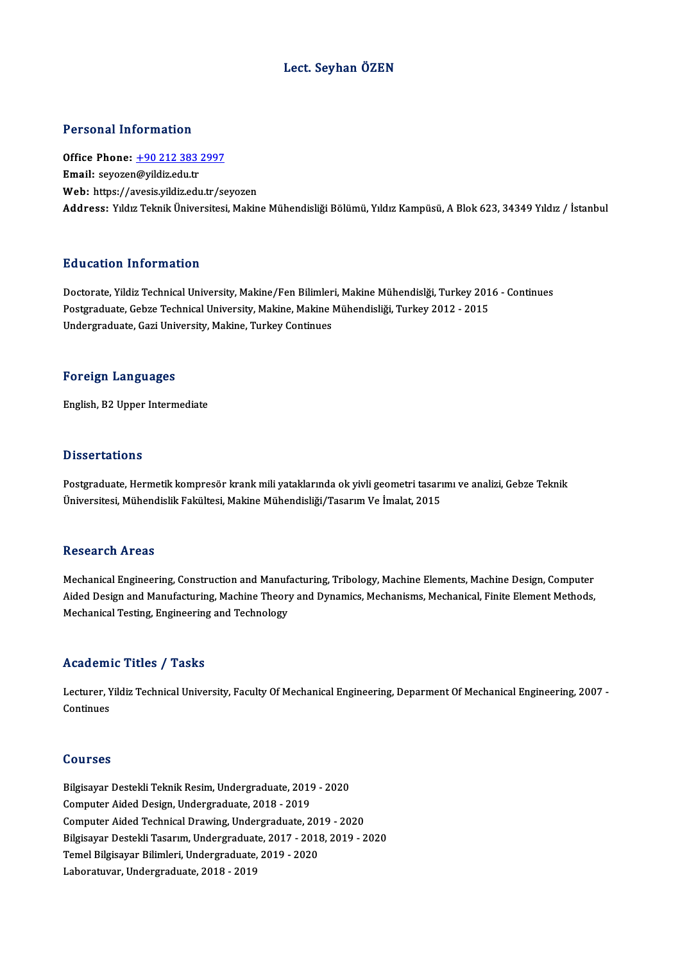## Lect. Seyhan ÖZEN

## Personal Information

Personal Information<br>Office Phone: <u>+90 212 383 2997</u><br>Email: severen@vildir.edu.tr 1 STOOM 1 MISTMACHE<br>Office Phone: <u>+90 212 383</u><br>Email: seyozen[@yildiz.edu.tr](tel:+90 212 383 2997) Email: seyozen@yildiz.edu.tr<br>Web: https://avesis.yildiz.edu.tr/seyozen Address: Yıldız Teknik Üniversitesi, Makine Mühendisliği Bölümü, Yıldız Kampüsü, A Blok 623, 34349 Yıldız / İstanbul

## Education Information

Education Information<br>Doctorate, Yildiz Technical University, Makine/Fen Bilimleri, Makine Mühendislği, Turkey 2016 - Continues<br>Postsraduate Cebre Technical University, Makine Makine Mühendisliği, Turkey 2012 - 2015 Pu u sutrom minominusion<br>Doctorate, Yildiz Technical University, Makine/Fen Bilimleri, Makine Mühendislği, Turkey 201<br>Postgraduate, Gebze Technical University, Makine, Makine Mühendisliği, Turkey 2012 - 2015<br>Undergraduate, Doctorate, Yildiz Technical University, Makine/Fen Bilimler<br>Postgraduate, Gebze Technical University, Makine, Makine l<br>Undergraduate, Gazi University, Makine, Turkey Continues Undergraduate, Gazi University, Makine, Turkey Continues<br>Foreign Languages

English,B2Upper Intermediate

## **Dissertations**

Postgraduate, Hermetik kompresör krank mili yataklarında ok yivli geometri tasarımı ve analizi, Gebze Teknik Üniversitesi, Mühendislik Fakültesi, Makine Mühendisliği/Tasarım Ve İmalat, 2015

### Research Areas

Research Areas<br>Mechanical Engineering, Construction and Manufacturing, Tribology, Machine Elements, Machine Design, Computer<br>Aided Design and Manufacturing, Machine Theory and Dynamics, Machanisms, Machanical, Einite Eleme Accocal off HF cas<br>Mechanical Engineering, Construction and Manufacturing, Tribology, Machine Elements, Machine Design, Computer<br>Aided Design and Manufacturing, Machine Theory and Dynamics, Mechanisms, Mechanical, Finite E Mechanical Engineering, Construction and Manuf;<br>Aided Design and Manufacturing, Machine Theory<br>Mechanical Testing, Engineering and Technology Mechanical Testing, Engineering and Technology<br>Academic Titles / Tasks

**Academic Titles / Tasks**<br>Lecturer, Yildiz Technical University, Faculty Of Mechanical Engineering, Deparment Of Mechanical Engineering, 2007 -Lecturer, Y<br>Continues Continues<br>Courses

Courses<br>Bilgisayar Destekli Teknik Resim, Undergraduate, 2019 - 2020<br>Computer Aided Design, Undergraduate, 2019 - 2019 Sourbes<br>Bilgisayar Destekli Teknik Resim, Undergraduate, 2019<br>Computer Aided Technicel Drougns, Undergraduate, 2 Computer Aided Design, Undergraduate, 2018 - 2019<br>Computer Aided Technical Drawing, Undergraduate, 2019 - 2020 Computer Aided Design, Undergraduate, 2018 - 2019<br>Computer Aided Technical Drawing, Undergraduate, 2019 - 2020<br>Bilgisayar Destekli Tasarım, Undergraduate, 2017 - 2018, 2019 - 2020<br>Tamel Bilgisayar Bilimleri, Undergraduate, Computer Aided Technical Drawing, Undergraduate, 2013<br>Bilgisayar Destekli Tasarım, Undergraduate, 2017 - 2018<br>Temel Bilgisayar Bilimleri, Undergraduate, 2019 - 2020<br>Labaratuyan Undergraduate, 2018, 2019 Bilgisayar Destekli Tasarım, Undergraduate<br>Temel Bilgisayar Bilimleri, Undergraduate, .<br>Laboratuvar, Undergraduate, 2018 - 2019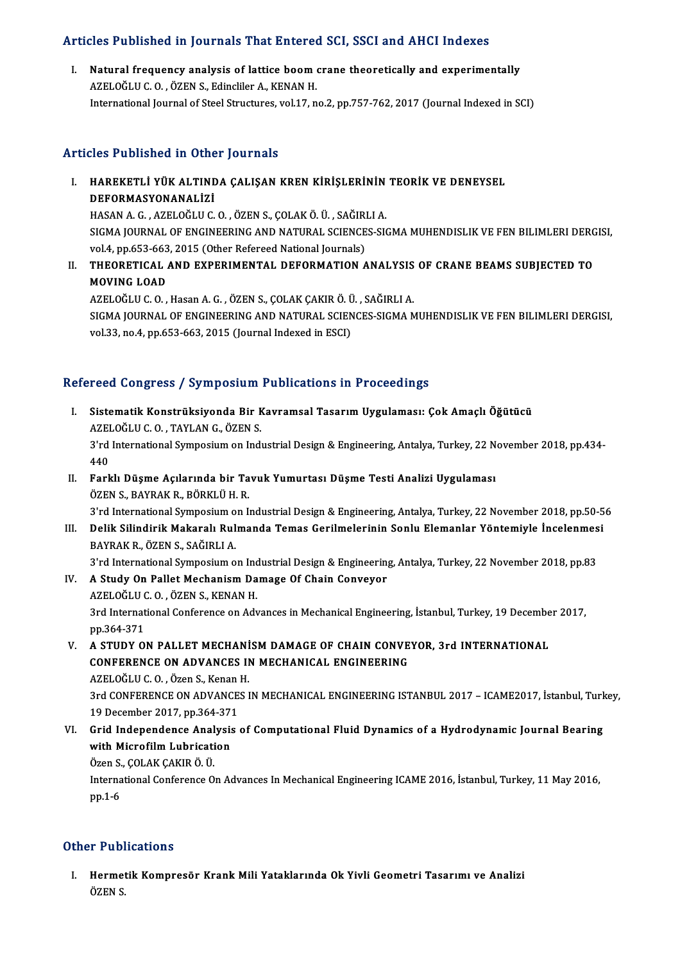# Articles Published in Journals That Entered SCI, SSCI and AHCI Indexes

rticles Published in Journals That Entered SCI, SSCI and AHCI Indexes<br>I. Natural frequency analysis of lattice boom crane theoretically and experimentally<br>AZELOČLUC O. ÖZENS. Edinglian A. KENAN H I. Natural frequency analysis of lattice boom crane theoretically and experimentally AZELOĞLUC. O., ÖZEN S., Edincliler A., KENAN H. International Journal of Steel Structures, vol.17, no.2, pp.757-762, 2017 (Journal Indexed in SCI)

## Articles Published in Other Journals

- Tticles Published in Other Journals<br>I. HAREKETLİ YÜK ALTINDA ÇALIŞAN KREN KİRİŞLERİNİN TEORİK VE DENEYSEL<br>DEFORMASYONANALİZI HAREKETLİ YÜK ALTIND<br>DEFORMASYONANALİZİ<br>UASANA CAZELOĞLUC HAREKETLİ YÜK ALTINDA ÇALIŞAN KREN KİRİŞLERİNİN<br>DEFORMASYONANALİZİ<br>HASAN A. G. , AZELOĞLU C. O. , ÖZEN S., ÇOLAK Ö. Ü. , SAĞIRLI A.<br>SICMA JOUPNAL OF ENCINEEPINC AND NATURAL SCIENCES SI DEFORMASYONANALİZİ<br>HASAN A. G. , AZELOĞLU C. O. , ÖZEN S., ÇOLAK Ö. Ü. , SAĞIRLI A.<br>SIGMA JOURNAL OF ENGINEERING AND NATURAL SCIENCES-SIGMA MUHENDISLIK VE FEN BILIMLERI DERGISI,<br>velá, np.653,663,2015 (Other Pefereed Nation HASAN A. G., AZELOĞLU C. O., ÖZEN S., ÇOLAK Ö. Ü., SAĞIRLI A. SIGMA JOURNAL OF ENGINEERING AND NATURAL SCIENCES-SIGMA MUHENDISLIK VE FEN BILIMLERI DERG<br>vol.4, pp.653-663, 2015 (Other Refereed National Journals)<br>II. THEORETICAL AND EXPERIMENTAL DEFORMATION ANALYSIS OF CRANE BEAMS SUBJ
- vol.4, pp.653-663, 2015 (Other Refereed National Journals)<br>THEORETICAL AND EXPERIMENTAL DEFORMATION /<br>MOVING LOAD II. THEORETICAL AND EXPERIMENTAL DEFORMATION ANALYSIS OF CRANE BEAMS SUBJECTED TO AZELOĞLU C.O., Hasan A.G., ÖZEN S., ÇOLAK ÇAKIR Ö. Ü., SAĞIRLI A.

SIGMA JOURNAL OF ENGINEERING AND NATURAL SCIENCES-SIGMA MUHENDISLIK VE FEN BILIMLERI DERGISI,<br>vol.33, no.4, pp.653-663, 2015 (Journal Indexed in ESCI)

## Refereed Congress / Symposium Publications in Proceedings

efereed Congress / Symposium Publications in Proceedings<br>I. Sistematik Konstrüksiyonda Bir Kavramsal Tasarım Uygulaması: Çok Amaçlı Öğütücü<br>AZELOĞLUC O. TAVLAN G. ÖZEN S AZELOĞLUC.O.,TAYLANG.,ÖZENS.<br>AZELOĞLUC.O.,TAYLANG.,ÖZENS. 3'rd International Symposium on Industrial Design & Engineering, Antalya, Turkey, 22 November 2018, pp.434-440 AZELOĞLU C.O., TAYLAN G., ÖZEN S. 3'rd International Symposium on Industrial Design & Engineering, Antalya, Turkey, 22 N<br>440<br>II. Farklı Düşme Açılarında bir Tavuk Yumurtası Düşme Testi Analizi Uygulaması<br>ÖZEN S. BAVBAK B. BÖRKLÜ H. B 440<br>Farklı Düşme Açılarında bir Ta<br>ÖZEN S., BAYRAK R., BÖRKLÜ H. R.<br><sup>2'nd International Sumnosium on I</sup> Farklı Düşme Açılarında bir Tavuk Yumurtası Düşme Testi Analizi Uygulaması<br>ÖZEN S., BAYRAK R., BÖRKLÜ H. R.<br>3'rd International Symposium on Industrial Design & Engineering, Antalya, Turkey, 22 November 2018, pp.50-56<br>Delik

ÖZEN S., BAYRAK R., BÖRKLÜ H. R.<br>1. 3'rd International Symposium on Industrial Design & Engineering, Antalya, Turkey, 22 November 2018, pp.50-5<br>1. Delik Silindirik Makaralı Rulmanda Temas Gerilmelerinin Sonlu Elemanlar Yön 3'rd International Symposium o<br>Delik Silindirik Makaralı Rul<br>BAYRAK R., ÖZEN S., SAĞIRLI A.<br><sup>2'nd</sup> International Symposium o Delik Silindirik Makaralı Rulmanda Temas Gerilmelerinin Sonlu Elemanlar Yöntemiyle İncelenmes<br>BAYRAK R., ÖZEN S., SAĞIRLI A.<br>3'rd International Symposium on Industrial Design & Engineering, Antalya, Turkey, 22 November 201

- BAYRAK R., ÖZEN S., SAĞIRLI A.<br>3'rd International Symposium on Industrial Design & Engineering<br>IV. A Study On Pallet Mechanism Damage Of Chain Conveyor 3'rd International Symposium on Inc<br>A Study On Pallet Mechanism Da<br>AZELOĞLU C. O. , ÖZEN S., KENAN H.<br><sup>2rd International Conference on Adv</sup> A Study On Pallet Mechanism Damage Of Chain Conveyor<br>AZELOĞLU C. O. , ÖZEN S., KENAN H.<br>3rd International Conference on Advances in Mechanical Engineering, İstanbul, Turkey, 19 December 2017,<br>nn 264-271 AZELOĞLU (2015)<br>3rd Internat<br>pp.364-371<br>A STUDY O 3rd International Conference on Advances in Mechanical Engineering, İstanbul, Turkey, 19 December, pp. 364-371<br>V. A STUDY ON PALLET MECHANISM DAMAGE OF CHAIN CONVEYOR, 3rd INTERNATIONAL<br>CONFERENCE ON ADVANCES IN MECHANICAL
- pp.364-371<br>A STUDY ON PALLET MECHANISM DAMAGE OF CHAIN CONVE<br>CONFERENCE ON ADVANCES IN MECHANICAL ENGINEERING<br>AZELOČLUS O. ÖZAR S. Kanar H A STUDY ON PALLET MECHANI<br>CONFERENCE ON ADVANCES II<br>AZELOĞLU C. O. , Özen S., Kenan H.<br>2rd CONEEPENCE ON ADVANCES I CONFERENCE ON ADVANCES IN MECHANICAL ENGINEERING<br>AZELOĞLU C. O. , Özen S., Kenan H.<br>3rd CONFERENCE ON ADVANCES IN MECHANICAL ENGINEERING ISTANBUL 2017 – ICAME2017, İstanbul, Turkey,<br>19 Desember 2017, pp.264, 271 AZELOĞLU C. O. , Özen S., Kenan<br>3rd CONFERENCE ON ADVANCE<br>19 December 2017, pp.364-371<br>Crid Indonandance Analysis 3rd CONFERENCE ON ADVANCES IN MECHANICAL ENGINEERING ISTANBUL 2017 – ICAME2017, İstanbul, Turk<br>19 December 2017, pp.364-371<br>VI. Grid Independence Analysis of Computational Fluid Dynamics of a Hydrodynamic Journal Bearing<br>w
- 19 December 2017, pp.364-37<br>Grid Independence Analysis<br>with Microfilm Lubrication<br>Özen S. COLAK CAKIP Ö. Ü Grid Independence Anal<br>with Microfilm Lubricati<br>Özen S., ÇOLAK ÇAKIR Ö. Ü.<br>International Cenference O.

with Microfilm Lubrication<br>Özen S., ÇOLAK ÇAKIR Ö. Ü.<br>International Conference On Advances In Mechanical Engineering ICAME 2016, İstanbul, Turkey, 11 May 2016,<br>nn 1 6 Özen S.<br>Interna<br>pp.1-6

## pp.1-6<br>Other Publications

ther Publications<br>I. Hermetik Kompresör Krank Mili Yataklarında Ok Yivli Geometri Tasarımı ve Analizi<br>ÖZEN S 1195.<br>Hermet<br>ÖZEN S.